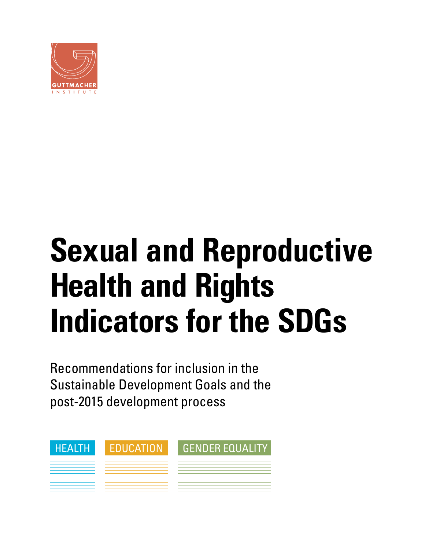

# **Sexual and Reproductive Health and Rights Indicators for the SDGs**

Recommendations for inclusion in the Sustainable Development Goals and the post-2015 development process

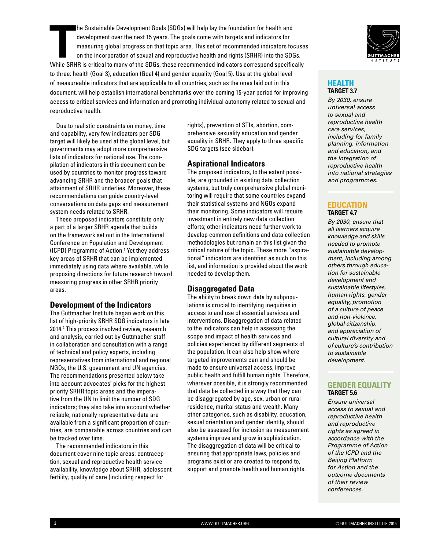**The Sustainable Development Goals (SDGs) will help lay the foundation for health and development over the next 15 years. The goals come with targets and indicators for measuring global progress on that topic area. This se** he Sustainable Development Goals (SDGs) will help lay the foundation for health and development over the next 15 years. The goals come with targets and indicators for measuring global progress on that topic area. This set of recommended indicators focuses on the incorporation of sexual and reproductive health and rights (SRHR) into the SDGs. to three: health (Goal 3), education (Goal 4) and gender equality (Goal 5). Use at the global level of measureable indicators that are applicable to all countries, such as the ones laid out in this document, will help establish international benchmarks over the coming 15-year period for improving access to critical services and information and promoting individual autonomy related to sexual and reproductive health.

Due to realistic constraints on money, time and capability, very few indicators per SDG target will likely be used at the global level, but governments may adopt more comprehensive lists of indicators for national use. The compilation of indicators in this document can be used by countries to monitor progress toward advancing SRHR and the broader goals that attainment of SRHR underlies. Moreover, these recommendations can guide country-level conversations on data gaps and measurement system needs related to SRHR.

These proposed indicators constitute only a part of a larger SRHR agenda that builds on the framework set out in the International Conference on Population and Development (ICPD) Programme of Action.1 Yet they address key areas of SRHR that can be implemented immediately using data where available, while proposing directions for future research toward measuring progress in other SRHR priority areas.

#### **Development of the Indicators**

The Guttmacher Institute began work on this list of high-priority SRHR SDG indicators in late 2014.2 This process involved review, research and analysis, carried out by Guttmacher staff in collaboration and consultation with a range of technical and policy experts, including representatives from international and regional NGOs, the U.S. government and UN agencies. The recommendations presented below take into account advocates' picks for the highest priority SRHR topic areas and the imperative from the UN to limit the number of SDG indicators; they also take into account whether reliable, nationally representative data are available from a significant proportion of countries, are comparable across countries and can be tracked over time.

The recommended indicators in this document cover nine topic areas: contraception, sexual and reproductive health service availability, knowledge about SRHR, adolescent fertility, quality of care (including respect for

rights), prevention of STIs, abortion, comprehensive sexuality education and gender equality in SRHR. They apply to three specific SDG targets (see sidebar).

#### **Aspirational Indicators**

The proposed indicators, to the extent possible, are grounded in existing data collection systems, but truly comprehensive global monitoring will require that some countries expand their statistical systems and NGOs expand their monitoring. Some indicators will require investment in entirely new data collection efforts; other indicators need further work to develop common definitions and data collection methodologies but remain on this list given the critical nature of the topic. These more "aspirational" indicators are identified as such on this list, and information is provided about the work needed to develop them.

#### **Disaggregated Data**

The ability to break down data by subpopulations is crucial to identifying inequities in access to and use of essential services and interventions. Disaggregation of data related to the indicators can help in assessing the scope and impact of health services and policies experienced by different segments of the population. It can also help show where targeted improvements can and should be made to ensure universal access, improve public health and fulfill human rights. Therefore, wherever possible, it is strongly recommended that data be collected in a way that they can be disaggregated by age, sex, urban or rural residence, marital status and wealth. Many other categories, such as disability, education, sexual orientation and gender identity, should also be assessed for inclusion as measurement systems improve and grow in sophistication. The disaggregation of data will be critical to ensuring that appropriate laws, policies and programs exist or are created to respond to, support and promote health and human rights.



#### **HEALTH TARGET 3.7**

*By 2030, ensure universal access to sexual and reproductive health care services, including for family planning, information and education, and the integration of reproductive health into national strategies and programmes.*

#### **EDUCATION TARGET 4.7**

*By 2030, ensure that all learners acquire knowledge and skills needed to promote sustainable development, including among others through education for sustainable development and sustainable lifestyles, human rights, gender equality, promotion of a culture of peace and non-violence, global citizenship, and appreciation of cultural diversity and of culture's contribution to sustainable development.*

#### **GENDER EQUALITY TARGET 5.6**

*Ensure universal access to sexual and reproductive health and reproductive rights as agreed in accordance with the Programme of Action of the ICPD and the Beijing Platform for Action and the outcome documents of their review conferences.*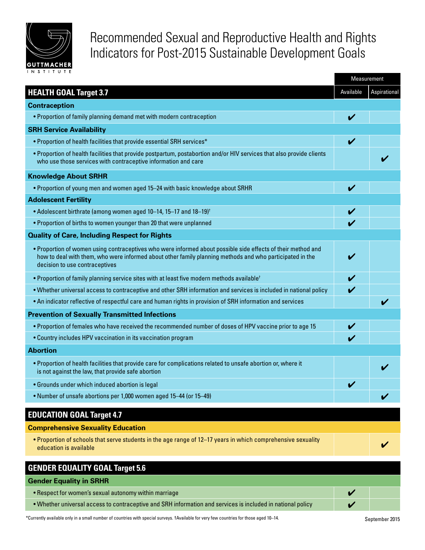

# Recommended Sexual and Reproductive Health and Rights Indicators for Post-2015 Sustainable Development Goals

|                                                                                                                                                                                                                                                            | Measurement |              |
|------------------------------------------------------------------------------------------------------------------------------------------------------------------------------------------------------------------------------------------------------------|-------------|--------------|
| <b>HEALTH GOAL Target 3.7</b>                                                                                                                                                                                                                              | Available   | Aspirational |
| <b>Contraception</b>                                                                                                                                                                                                                                       |             |              |
| . Proportion of family planning demand met with modern contraception                                                                                                                                                                                       | V           |              |
| <b>SRH Service Availability</b>                                                                                                                                                                                                                            |             |              |
| • Proportion of health facilities that provide essential SRH services*                                                                                                                                                                                     | V           |              |
| . Proportion of health facilities that provide postpartum, postabortion and/or HIV services that also provide clients<br>who use those services with contraceptive information and care                                                                    |             |              |
| <b>Knowledge About SRHR</b>                                                                                                                                                                                                                                |             |              |
| . Proportion of young men and women aged 15-24 with basic knowledge about SRHR                                                                                                                                                                             | V           |              |
| <b>Adolescent Fertility</b>                                                                                                                                                                                                                                |             |              |
| • Adolescent birthrate (among women aged 10-14, 15-17 and 18-19) <sup>†</sup>                                                                                                                                                                              | V           |              |
| • Proportion of births to women younger than 20 that were unplanned                                                                                                                                                                                        | V           |              |
| <b>Quality of Care, Including Respect for Rights</b>                                                                                                                                                                                                       |             |              |
| . Proportion of women using contraceptives who were informed about possible side effects of their method and<br>how to deal with them, who were informed about other family planning methods and who participated in the<br>decision to use contraceptives |             |              |
| • Proportion of family planning service sites with at least five modern methods available <sup>t</sup>                                                                                                                                                     | V           |              |
| . Whether universal access to contraceptive and other SRH information and services is included in national policy                                                                                                                                          | V           |              |
| . An indicator reflective of respectful care and human rights in provision of SRH information and services                                                                                                                                                 |             | V            |
| <b>Prevention of Sexually Transmitted Infections</b>                                                                                                                                                                                                       |             |              |
| • Proportion of females who have received the recommended number of doses of HPV vaccine prior to age 15                                                                                                                                                   |             |              |
| • Country includes HPV vaccination in its vaccination program                                                                                                                                                                                              | V           |              |
| <b>Abortion</b>                                                                                                                                                                                                                                            |             |              |
| • Proportion of health facilities that provide care for complications related to unsafe abortion or, where it<br>is not against the law, that provide safe abortion                                                                                        |             |              |
| • Grounds under which induced abortion is legal                                                                                                                                                                                                            |             |              |
| . Number of unsafe abortions per 1,000 women aged 15-44 (or 15-49)                                                                                                                                                                                         |             |              |
| <b>EDUCATION GOAL Target 4.7</b>                                                                                                                                                                                                                           |             |              |
| <b>Comprehensive Sexuality Education</b>                                                                                                                                                                                                                   |             |              |
| . Proportion of schools that serve students in the age range of 12-17 years in which comprehensive sexuality<br>education is available                                                                                                                     |             |              |
| <b>GENDER EQUALITY GOAL Target 5.6</b>                                                                                                                                                                                                                     |             |              |
| <b>Gender Equality in SRHR</b>                                                                                                                                                                                                                             |             |              |
| • Respect for women's sexual autonomy within marriage                                                                                                                                                                                                      | V           |              |
| . Whether universal access to contraceptive and SRH information and services is included in national policy                                                                                                                                                |             |              |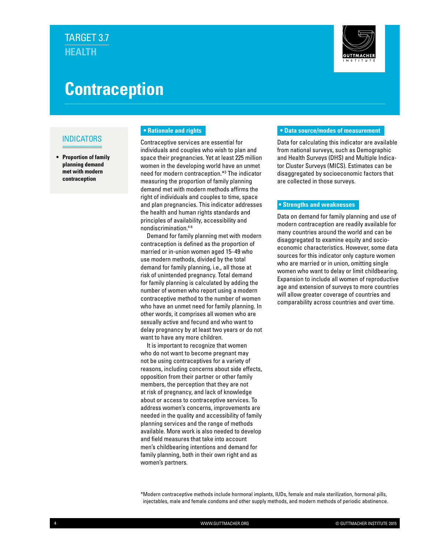

# **Contraception**

#### INDICATORS

**• Proportion of family planning demand met with modern contraception**

#### **• Rationale and rights**

Contraceptive services are essential for individuals and couples who wish to plan and space their pregnancies. Yet at least 225 million women in the developing world have an unmet need for modern contraception.\*3 The indicator measuring the proportion of family planning demand met with modern methods affirms the right of individuals and couples to time, space and plan pregnancies. This indicator addresses the health and human rights standards and principles of availability, accessibility and nondiscrimination.4-6

Demand for family planning met with modern contraception is defined as the proportion of married or in-union women aged 15–49 who use modern methods, divided by the total demand for family planning, i.e., all those at risk of unintended pregnancy. Total demand for family planning is calculated by adding the number of women who report using a modern contraceptive method to the number of women who have an unmet need for family planning. In other words, it comprises all women who are sexually active and fecund and who want to delay pregnancy by at least two years or do not want to have any more children.

It is important to recognize that women who do not want to become pregnant may not be using contraceptives for a variety of reasons, including concerns about side effects, opposition from their partner or other family members, the perception that they are not at risk of pregnancy, and lack of knowledge about or access to contraceptive services. To address women's concerns, improvements are needed in the quality and accessibility of family planning services and the range of methods available. More work is also needed to develop and field measures that take into account men's childbearing intentions and demand for family planning, both in their own right and as women's partners.

#### **• Data source/modes of measurement**

Data for calculating this indicator are available from national surveys, such as Demographic and Health Surveys (DHS) and Multiple Indicator Cluster Surveys (MICS). Estimates can be disaggregated by socioeconomic factors that are collected in those surveys.

#### **• Strengths and weaknesses**

Data on demand for family planning and use of modern contraception are readily available for many countries around the world and can be disaggregated to examine equity and socioeconomic characteristics. However, some data sources for this indicator only capture women who are married or in union, omitting single women who want to delay or limit childbearing. Expansion to include all women of reproductive age and extension of surveys to more countries will allow greater coverage of countries and comparability across countries and over time.

\*Modern contraceptive methods include hormonal implants, IUDs, female and male sterilization, hormonal pills, injectables, male and female condoms and other supply methods, and modern methods of periodic abstinence.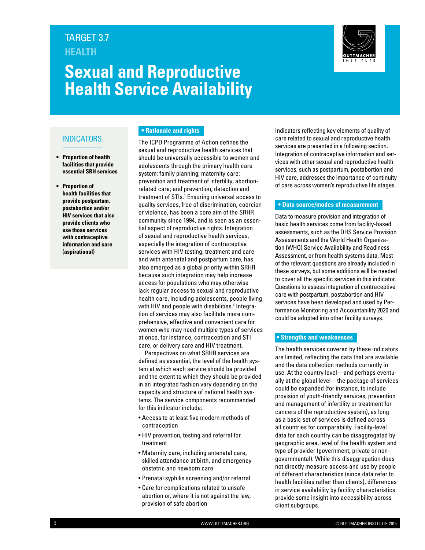



#### INDICATORS

- **• Proportion of health facilities that provide essential SRH services**
- **• Proportion of health facilities that provide postpartum, postabortion and/or HIV services that also provide clients who use those services with contraceptive information and care (aspirational)**

#### **• Rationale and rights**

The ICPD Programme of Action defines the sexual and reproductive health services that should be universally accessible to women and adolescents through the primary health care system: family planning; maternity care; prevention and treatment of infertility; abortionrelated care; and prevention, detection and treatment of STIs.<sup>1</sup> Ensuring universal access to quality services, free of discrimination, coercion or violence, has been a core aim of the SRHR community since 1994, and is seen as an essential aspect of reproductive rights. Integration of sexual and reproductive health services, especially the integration of contraceptive services with HIV testing, treatment and care and with antenatal and postpartum care, has also emerged as a global priority within SRHR because such integration may help increase access for populations who may otherwise lack regular access to sexual and reproductive health care, including adolescents, people living with HIV and people with disabilities.<sup>4</sup> Integration of services may also facilitate more comprehensive, effective and convenient care for women who may need multiple types of services at once, for instance, contraception and STI care, or delivery care and HIV treatment.

Perspectives on what SRHR services are defined as essential, the level of the health system at which each service should be provided and the extent to which they should be provided in an integrated fashion vary depending on the capacity and structure of national health systems. The service components recommended for this indicator include:

- Access to at least five modern methods of contraception
- HIV prevention, testing and referral for treatment
- Maternity care, including antenatal care, skilled attendance at birth, and emergency obstetric and newborn care
- Prenatal syphilis screening and/or referral
- Care for complications related to unsafe abortion or, where it is not against the law, provision of safe abortion

Indicators reflecting key elements of quality of care related to sexual and reproductive health services are presented in a following section. Integration of contraceptive information and services with other sexual and reproductive health services, such as postpartum, postabortion and HIV care, addresses the importance of continuity of care across women's reproductive life stages.

#### **• Data source/modes of measurement**

Data to measure provision and integration of basic health services come from facility-based assessments, such as the DHS Service Provision Assessments and the World Health Organization (WHO) Service Availability and Readiness Assessment, or from health systems data. Most of the relevant questions are already included in these surveys, but some additions will be needed to cover all the specific services in this indicator. Questions to assess integration of contraceptive care with postpartum, postabortion and HIV services have been developed and used by Performance Monitoring and Accountability 2020 and could be adopted into other facility surveys.

#### **• Strengths and weaknesses**

The health services covered by these indicators are limited, reflecting the data that are available and the data collection methods currently in use. At the country level—and perhaps eventually at the global level—the package of services could be expanded (for instance, to include provision of youth-friendly services, prevention and management of infertility or treatment for cancers of the reproductive system), as long as a basic set of services is defined across all countries for comparability. Facility-level data for each country can be disaggregated by geographic area, level of the health system and type of provider (government, private or nongovernmental). While this disaggregation does not directly measure access and use by people of different characteristics (since data refer to health facilities rather than clients), differences in service availability by facility characteristics provide some insight into accessibility across client subgroups.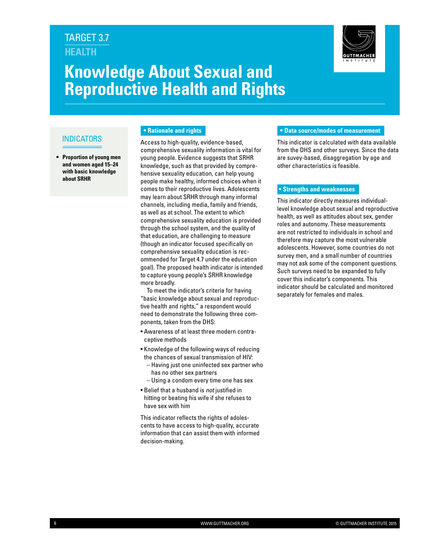



#### INDICATORS

**• Proportion of young men and women aged 15–24 with basic knowledge about SRHR**

#### **• Rationale and rights**

Access to high-quality, evidence-based, comprehensive sexuality information is vital for young people. Evidence suggests that SRHR knowledge, such as that provided by comprehensive sexuality education, can help young people make healthy, informed choices when it comes to their reproductive lives. Adolescents may learn about SRHR through many informal channels, including media, family and friends, as well as at school. The extent to which comprehensive sexuality education is provided through the school system, and the quality of that education, are challenging to measure (though an indicator focused specifically on comprehensive sexuality education is recommended for Target 4.7 under the education goal). The proposed health indicator is intended to capture young people's SRHR knowledge more broadly.

To meet the indicator's criteria for having "basic knowledge about sexual and reproductive health and rights," a respondent would need to demonstrate the following three components, taken from the DHS:

- Awareness of at least three modern contraceptive methods
- Knowledge of the following ways of reducing the chances of sexual transmission of HIV:
	- Having just one uninfected sex partner who has no other sex partners
	- Using a condom every time one has sex
- Belief that a husband is *not* justified in hitting or beating his wife if she refuses to have sex with him

This indicator reflects the rights of adolescents to have access to high-quality, accurate information that can assist them with informed decision-making.

#### **• Data source/modes of measurement**

This indicator is calculated with data available from the DHS and other surveys. Since the data are suvey-based, disaggregation by age and other characteristics is feasible.

#### **• Strengths and weaknesses**

This indicator directly measures individuallevel knowledge about sexual and reproductive health, as well as attitudes about sex, gender roles and autonomy. These measurements are not restricted to individuals in school and therefore may capture the most vulnerable adolescents. However, some countries do not survey men, and a small number of countries may not ask some of the component questions. Such surveys need to be expanded to fully cover this indicator's components. This indicator should be calculated and monitored separately for females and males.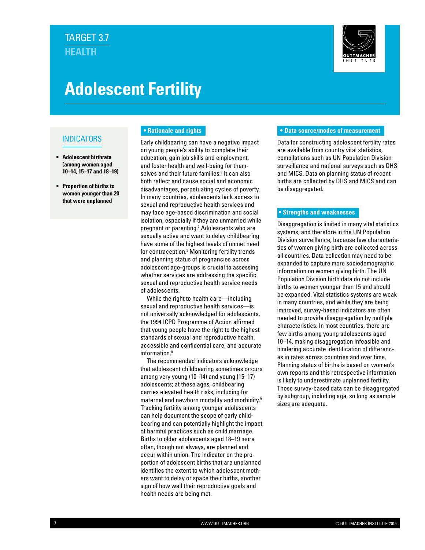

# **Adolescent Fertility**

#### INDICATORS

- **• Adolescent birthrate (among women aged 10–14, 15–17 and 18–19)**
- **• Proportion of births to women younger than 20 that were unplanned**

#### **• Rationale and rights**

Early childbearing can have a negative impact on young people's ability to complete their education, gain job skills and employment, and foster health and well-being for themselves and their future families.<sup>3</sup> It can also both reflect and cause social and economic disadvantages, perpetuating cycles of poverty. In many countries, adolescents lack access to sexual and reproductive health services and may face age-based discrimination and social isolation, especially if they are unmarried while pregnant or parenting.<sup>7</sup> Adolescents who are sexually active and want to delay childbearing have some of the highest levels of unmet need for contraception.3 Monitoring fertility trends and planning status of pregnancies across adolescent age-groups is crucial to assessing whether services are addressing the specific sexual and reproductive health service needs of adolescents.

While the right to health care—including sexual and reproductive health services—is not universally acknowledged for adolescents, the 1994 ICPD Programme of Action affirmed that young people have the right to the highest standards of sexual and reproductive health, accessible and confidential care, and accurate information.8

The recommended indicators acknowledge that adolescent childbearing sometimes occurs among very young (10–14) and young (15–17) adolescents; at these ages, childbearing carries elevated health risks, including for maternal and newborn mortality and morbidity.9 Tracking fertility among younger adolescents can help document the scope of early childbearing and can potentially highlight the impact of harmful practices such as child marriage. Births to older adolescents aged 18–19 more often, though not always, are planned and occur within union. The indicator on the proportion of adolescent births that are unplanned identifies the extent to which adolescent mothers want to delay or space their births, another sign of how well their reproductive goals and health needs are being met.

#### **• Data source/modes of measurement**

Data for constructing adolescent fertility rates are available from country vital statistics, compilations such as UN Population Division surveillance and national surveys such as DHS and MICS. Data on planning status of recent births are collected by DHS and MICS and can be disaggregated.

#### **• Strengths and weaknesses**

Disaggregation is limited in many vital statistics systems, and therefore in the UN Population Division surveillance, because few characteristics of women giving birth are collected across all countries. Data collection may need to be expanded to capture more sociodemographic information on women giving birth. The UN Population Division birth data do not include births to women younger than 15 and should be expanded. Vital statistics systems are weak in many countries, and while they are being improved, survey-based indicators are often needed to provide disaggregation by multiple characteristics. In most countries, there are few births among young adolescents aged 10–14, making disaggregation infeasible and hindering accurate identification of differences in rates across countries and over time. Planning status of births is based on women's own reports and this retrospective information is likely to underestimate unplanned fertility. These survey-based data can be disaggregated by subgroup, including age, so long as sample sizes are adequate.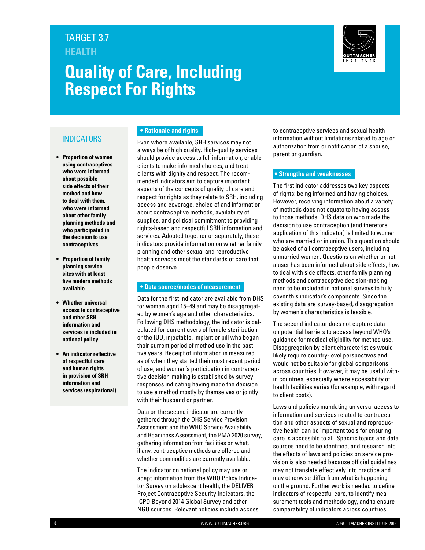# **Quality of Care, Including Respect For Rights**



#### INDICATORS

- **• Proportion of women using contraceptives who were informed about possible side effects of their method and how to deal with them, who were informed about other family planning methods and who participated in the decision to use contraceptives**
- **• Proportion of family planning service sites with at least five modern methods available**
- **• Whether universal access to contraceptive and other SRH information and services is included in national policy**
- **• An indicator reflective of respectful care and human rights in provision of SRH information and services (aspirational)**

#### **• Rationale and rights**

Even where available, SRH services may not always be of high quality. High-quality services should provide access to full information, enable clients to make informed choices, and treat clients with dignity and respect. The recommended indicators aim to capture important aspects of the concepts of quality of care and respect for rights as they relate to SRH, including access and coverage, choice of and information about contraceptive methods, availability of supplies, and political commitment to providing rights-based and respectful SRH information and services. Adopted together or separately, these indicators provide information on whether family planning and other sexual and reproductive health services meet the standards of care that people deserve.

#### **• Data source/modes of measurement**

Data for the first indicator are available from DHS for women aged 15–49 and may be disaggregated by women's age and other characteristics. Following DHS methodology, the indicator is calculated for current users of female sterilization or the IUD, injectable, implant or pill who began their current period of method use in the past five years. Receipt of information is measured as of when they started their most recent period of use, and women's participation in contraceptive decision-making is established by survey responses indicating having made the decision to use a method mostly by themselves or jointly with their husband or partner.

Data on the second indicator are currently gathered through the DHS Service Provision Assessment and the WHO Service Availability and Readiness Assessment, the PMA 2020 survey, gathering information from facilities on what, if any, contraceptive methods are offered and whether commodities are currently available.

The indicator on national policy may use or adapt information from the WHO Policy Indicator Survey on adolescent health, the DELIVER Project Contraceptive Security Indicators, the ICPD Beyond 2014 Global Survey and other NGO sources. Relevant policies include access to contraceptive services and sexual health information without limitations related to age or authorization from or notification of a spouse, parent or guardian.

#### **• Strengths and weaknesses**

The first indicator addresses two key aspects of rights: being informed and having choices. However, receiving information about a variety of methods does not equate to having access to those methods. DHS data on who made the decision to use contraception (and therefore application of this indicator) is limited to women who are married or in union. This question should be asked of all contraceptive users, including unmarried women. Questions on whether or not a user has been informed about side effects, how to deal with side effects, other family planning methods and contraceptive decision-making need to be included in national surveys to fully cover this indicator's components. Since the existing data are survey-based, disaggregation by women's characteristics is feasible.

The second indicator does not capture data on potential barriers to access beyond WHO's guidance for medical eligibility for method use. Disaggregation by client characteristics would likely require country-level perspectives and would not be suitable for global comparisons across countries. However, it may be useful within countries, especially where accessibility of health facilities varies (for example, with regard to client costs).

Laws and policies mandating universal access to information and services related to contraception and other aspects of sexual and reproductive health can be important tools for ensuring care is accessible to all. Specific topics and data sources need to be identified, and research into the effects of laws and policies on service provision is also needed because official guidelines may not translate effectively into practice and may otherwise differ from what is happening on the ground. Further work is needed to define indicators of respectful care, to identify measurement tools and methodology, and to ensure comparability of indicators across countries.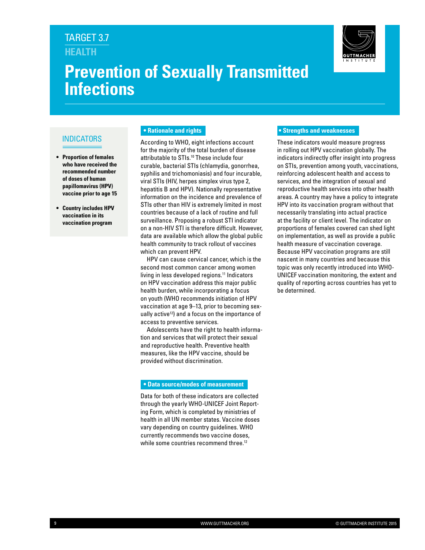# **Prevention of Sexually Transmitted Infections**



#### **INDICATORS**

- **• Proportion of females who have received the recommended number of doses of human papillomavirus (HPV) vaccine prior to age 15**
- **• Country includes HPV vaccination in its vaccination program**

#### **• Rationale and rights**

According to WHO, eight infections account for the majority of the total burden of disease attributable to STIs.<sup>10</sup> These include four curable, bacterial STIs (chlamydia, gonorrhea, syphilis and trichomoniasis) and four incurable, viral STIs (HIV, herpes simplex virus type 2, hepatitis B and HPV). Nationally representative information on the incidence and prevalence of STIs other than HIV is extremely limited in most countries because of a lack of routine and full surveillance. Proposing a robust STI indicator on a non-HIV STI is therefore difficult. However, data are available which allow the global public health community to track rollout of vaccines which can prevent HPV.

HPV can cause cervical cancer, which is the second most common cancer among women living in less developed regions.<sup>11</sup> Indicators on HPV vaccination address this major public health burden, while incorporating a focus on youth (WHO recommends initiation of HPV vaccination at age 9–13, prior to becoming sexually active<sup>12</sup>) and a focus on the importance of access to preventive services.

Adolescents have the right to health information and services that will protect their sexual and reproductive health. Preventive health measures, like the HPV vaccine, should be provided without discrimination.

#### **• Data source/modes of measurement**

Data for both of these indicators are collected through the yearly WHO-UNICEF Joint Reporting Form, which is completed by ministries of health in all UN member states. Vaccine doses vary depending on country guidelines. WHO currently recommends two vaccine doses, while some countries recommend three.<sup>12</sup>

#### **• Strengths and weaknesses**

These indicators would measure progress in rolling out HPV vaccination globally. The indicators indirectly offer insight into progress on STIs, prevention among youth, vaccinations, reinforcing adolescent health and access to services, and the integration of sexual and reproductive health services into other health areas. A country may have a policy to integrate HPV into its vaccination program without that necessarily translating into actual practice at the facility or client level. The indicator on proportions of females covered can shed light on implementation, as well as provide a public health measure of vaccination coverage. Because HPV vaccination programs are still nascent in many countries and because this topic was only recently introduced into WHO-UNICEF vaccination monitoring, the extent and quality of reporting across countries has yet to be determined.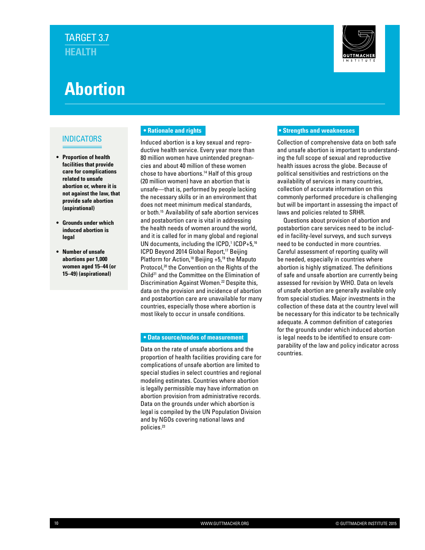

# **Abortion**

#### INDICATORS

- **• Proportion of health facilities that provide care for complications related to unsafe abortion or, where it is not against the law, that provide safe abortion (aspirational)**
- **• Grounds under which induced abortion is legal**
- **• Number of unsafe abortions per 1,000 women aged 15–44 (or 15–49) (aspirational)**

#### **• Rationale and rights**

Induced abortion is a key sexual and reproductive health service. Every year more than 80 million women have unintended pregnancies and about 40 million of these women chose to have abortions.14 Half of this group (20 million women) have an abortion that is unsafe—that is, performed by people lacking the necessary skills or in an environment that does not meet minimum medical standards, or both.15 Availability of safe abortion services and postabortion care is vital in addressing the health needs of women around the world, and it is called for in many global and regional UN documents, including the  $ICPD$ ,<sup>1</sup>  $ICDP+5$ ,<sup>16</sup> ICPD Beyond 2014 Global Report,<sup>17</sup> Beijing Platform for Action,<sup>18</sup> Beijing +5,<sup>19</sup> the Maputo Protocol,<sup>20</sup> the Convention on the Rights of the Child21 and the Committee on the Elimination of Discrimination Against Women.<sup>22</sup> Despite this, data on the provision and incidence of abortion and postabortion care are unavailable for many countries, especially those where abortion is most likely to occur in unsafe conditions.

#### **• Data source/modes of measurement**

Data on the rate of unsafe abortions and the proportion of health facilities providing care for complications of unsafe abortion are limited to special studies in select countries and regional modeling estimates. Countries where abortion is legally permissible may have information on abortion provision from administrative records. Data on the grounds under which abortion is legal is compiled by the UN Population Division and by NGOs covering national laws and policies.23

#### **• Strengths and weaknesses**

Collection of comprehensive data on both safe and unsafe abortion is important to understanding the full scope of sexual and reproductive health issues across the globe. Because of political sensitivities and restrictions on the availability of services in many countries, collection of accurate information on this commonly performed procedure is challenging but will be important in assessing the impact of laws and policies related to SRHR.

Questions about provision of abortion and postabortion care services need to be included in facility-level surveys, and such surveys need to be conducted in more countries. Careful assessment of reporting quality will be needed, especially in countries where abortion is highly stigmatized. The definitions of safe and unsafe abortion are currently being assessed for revision by WHO. Data on levels of unsafe abortion are generally available only from special studies. Major investments in the collection of these data at the country level will be necessary for this indicator to be technically adequate. A common definition of categories for the grounds under which induced abortion is legal needs to be identified to ensure comparability of the law and policy indicator across countries.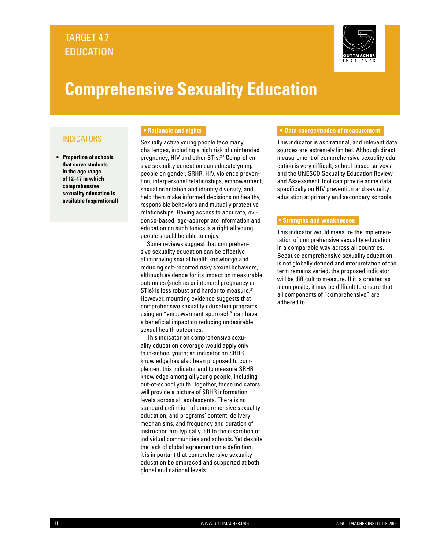### **EDUCATION** TARGET 4.7



# **Comprehensive Sexuality Education**

#### INDICATORS

**• Proportion of schools that serve students in the age range of 12–17 in which comprehensive sexuality education is available (aspirational)**

#### **• Rationale and rights**

Sexually active young people face many challenges, including a high risk of unintended pregnancy, HIV and other STIs.<sup>3,7</sup> Comprehensive sexuality education can educate young people on gender, SRHR, HIV, violence prevention, interpersonal relationships, empowerment, sexual orientation and identity diversity, and help them make informed decisions on healthy, responsible behaviors and mutually protective relationships. Having access to accurate, evidence-based, age-appropriate information and education on such topics is a right all young people should be able to enjoy.

Some reviews suggest that comprehensive sexuality education can be effective at improving sexual health knowledge and reducing self-reported risky sexual behaviors, although evidence for its impact on measurable outcomes (such as unintended pregnancy or STIs) is less robust and harder to measure.<sup>24</sup> However, mounting evidence suggests that comprehensive sexuality education programs using an "empowerment approach" can have a beneficial impact on reducing undesirable sexual health outcomes.

This indicator on comprehensive sexuality education coverage would apply only to in-school youth; an indicator on SRHR knowledge has also been proposed to complement this indicator and to measure SRHR knowledge among all young people, including out-of-school youth. Together, these indicators will provide a picture of SRHR information levels across all adolescents. There is no standard definition of comprehensive sexuality education, and programs' content, delivery mechanisms, and frequency and duration of instruction are typically left to the discretion of individual communities and schools. Yet despite the lack of global agreement on a definition, it is important that comprehensive sexuality education be embraced and supported at both global and national levels.

#### **• Data source/modes of measurement**

This indicator is aspirational, and relevant data sources are extremely limited. Although direct measurement of comprehensive sexuality education is very difficult, school-based surveys and the UNESCO Sexuality Education Review and Assessment Tool can provide some data, specifically on HIV prevention and sexuality education at primary and secondary schools.

#### **• Strengths and weaknesses**

This indicator would measure the implementation of comprehensive sexuality education in a comparable way across all countries. Because comprehensive sexuality education is not globally defined and interpretation of the term remains varied, the proposed indicator will be difficult to measure. If it is created as a composite, it may be difficult to ensure that all components of "comprehensive" are adhered to.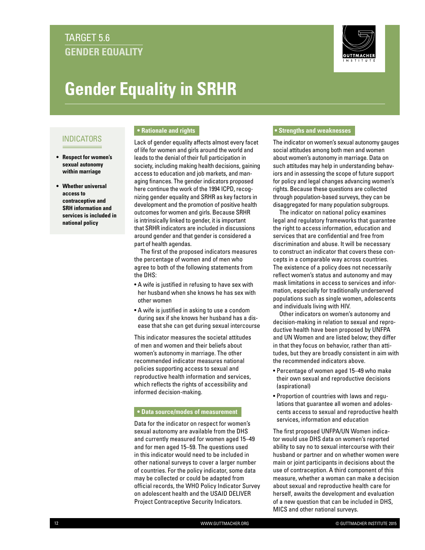## **GENDER EQUALITY** TARGET 5.6



# **Gender Equality in SRHR**

#### INDICATORS

- **• Respect for women's sexual autonomy within marriage**
- **• Whether universal access to contraceptive and SRH information and services is included in national policy**

#### **• Rationale and rights**

Lack of gender equality affects almost every facet of life for women and girls around the world and leads to the denial of their full participation in society, including making health decisions, gaining access to education and job markets, and managing finances. The gender indicators proposed here continue the work of the 1994 ICPD, recognizing gender equality and SRHR as key factors in development and the promotion of positive health outcomes for women and girls. Because SRHR is intrinsically linked to gender, it is important that SRHR indicators are included in discussions around gender and that gender is considered a part of health agendas.

The first of the proposed indicators measures the percentage of women and of men who agree to both of the following statements from the DHS:

- A wife is justified in refusing to have sex with her husband when she knows he has sex with other women
- A wife is justified in asking to use a condom during sex if she knows her husband has a disease that she can get during sexual intercourse

This indicator measures the societal attitudes of men and women and their beliefs about women's autonomy in marriage. The other recommended indicator measures national policies supporting access to sexual and reproductive health information and services, which reflects the rights of accessibility and informed decision-making.

#### **• Data source/modes of measurement**

Data for the indicator on respect for women's sexual autonomy are available from the DHS and currently measured for women aged 15–49 and for men aged 15–59. The questions used in this indicator would need to be included in other national surveys to cover a larger number of countries. For the policy indicator, some data may be collected or could be adapted from official records, the WHO Policy Indicator Survey on adolescent health and the USAID DELIVER Project Contraceptive Security Indicators.

#### **• Strengths and weaknesses**

The indicator on women's sexual autonomy gauges social attitudes among both men and women about women's autonomy in marriage. Data on such attitudes may help in understanding behaviors and in assessing the scope of future support for policy and legal changes advancing women's rights. Because these questions are collected through population-based surveys, they can be disaggregated for many population subgroups.

The indicator on national policy examines legal and regulatory frameworks that guarantee the right to access information, education and services that are confidential and free from discrimination and abuse. It will be necessary to construct an indicator that covers these concepts in a comparable way across countries. The existence of a policy does not necessarily reflect women's status and autonomy and may mask limitations in access to services and information, especially for traditionally underserved populations such as single women, adolescents and individuals living with HIV.

Other indicators on women's autonomy and decision-making in relation to sexual and reproductive health have been proposed by UNFPA and UN Women and are listed below; they differ in that they focus on behavior, rather than attitudes, but they are broadly consistent in aim with the recommended indicators above.

- Percentage of women aged 15–49 who make their own sexual and reproductive decisions (aspirational)
- Proportion of countries with laws and regulations that guarantee all women and adolescents access to sexual and reproductive health services, information and education

The first proposed UNFPA/UN Women indicator would use DHS data on women's reported ability to say no to sexual intercourse with their husband or partner and on whether women were main or joint participants in decisions about the use of contraception. A third component of this measure, whether a woman can make a decision about sexual and reproductive health care for herself, awaits the development and evaluation of a new question that can be included in DHS, MICS and other national surveys.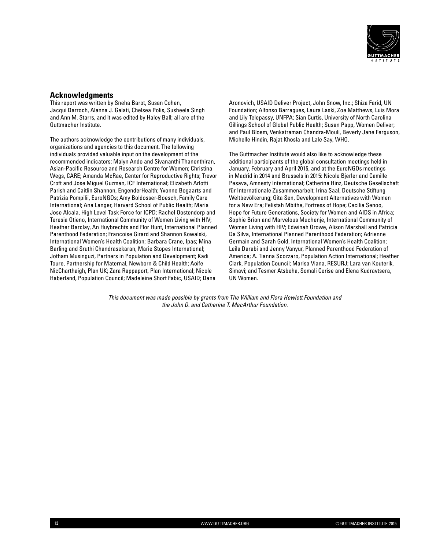

#### **Acknowledgments**

This report was written by Sneha Barot, Susan Cohen, Jacqui Darroch, Alanna J. Galati, Chelsea Polis, Susheela Singh and Ann M. Starrs, and it was edited by Haley Ball; all are of the Guttmacher Institute.

The authors acknowledge the contributions of many individuals, organizations and agencies to this document. The following individuals provided valuable input on the development of the recommended indicators: Malyn Ando and Sivananthi Thanenthiran, Asian-Pacific Resource and Research Centre for Women; Christina Wegs, CARE; Amanda McRae, Center for Reproductive Rights; Trevor Croft and Jose Miguel Guzman, ICF International; Elizabeth Arlotti Parish and Caitlin Shannon, EngenderHealth; Yvonne Bogaarts and Patrizia Pompilii, EuroNGOs; Amy Boldosser-Boesch, Family Care International; Ana Langer, Harvard School of Public Health; Maria Jose Alcala, High Level Task Force for ICPD; Rachel Oostendorp and Teresia Otieno, International Community of Women Living with HIV; Heather Barclay, An Huybrechts and Flor Hunt, International Planned Parenthood Federation; Francoise Girard and Shannon Kowalski, International Women's Health Coalition; Barbara Crane, Ipas; Mina Barling and Sruthi Chandrasekaran, Marie Stopes International; Jotham Musinguzi, Partners in Population and Development; Kadi Toure, Partnership for Maternal, Newborn & Child Health; Aoife NicCharthaigh, Plan UK; Zara Rappaport, Plan International; Nicole Haberland, Population Council; Madeleine Short Fabic, USAID; Dana

Aronovich, USAID Deliver Project, John Snow, Inc.; Shiza Farid, UN Foundation; Alfonso Barragues, Laura Laski, Zoe Matthews, Luis Mora and Lily Telepassy, UNFPA; Sian Curtis, University of North Carolina Gillings School of Global Public Health; Susan Papp, Women Deliver; and Paul Bloem, Venkatraman Chandra-Mouli, Beverly Jane Ferguson, Michelle Hindin, Rajat Khosla and Lale Say, WHO.

The Guttmacher Institute would also like to acknowledge these additional participants of the global consultation meetings held in January, February and April 2015, and at the EuroNGOs meetings in Madrid in 2014 and Brussels in 2015: Nicole Bjerler and Camille Pesava, Amnesty International; Catherina Hinz, Deutsche Gesellschaft für Internationale Zusammenarbeit; Irina Saal, Deutsche Stiftung Weltbevölkerung; Gita Sen, Development Alternatives with Women for a New Era; Felistah Mbithe, Fortress of Hope; Cecilia Senoo, Hope for Future Generations, Society for Women and AIDS in Africa; Sophie Brion and Marvelous Muchenje, International Community of Women Living with HIV; Edwinah Orowe, Alison Marshall and Patricia Da Silva, International Planned Parenthood Federation; Adrienne Germain and Sarah Gold, International Women's Health Coalition; Leila Darabi and Jenny Vanyur, Planned Parenthood Federation of America; A. Tianna Scozzaro, Population Action International; Heather Clark, Population Council; Marisa Viana, RESURJ; Lara van Kouterik, Simavi; and Tesmer Atsbeha, Somali Cerise and Elena Kudravtsera, UN Women.

*This document was made possible by grants from The William and Flora Hewlett Foundation and the John D. and Catherine T. MacArthur Foundation.*